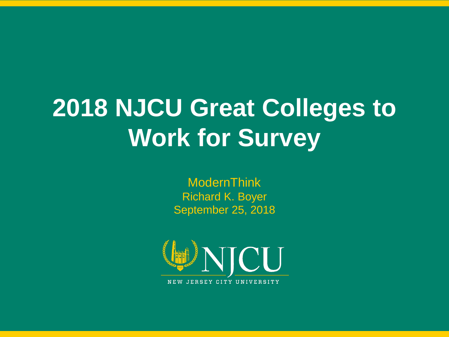# **2018 NJCU Great Colleges to Work for Survey**

ModernThink Richard K. Boyer September 25, 2018



1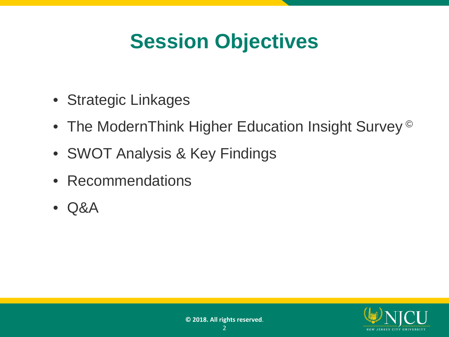#### **Session Objectives**

- Strategic Linkages
- The ModernThink Higher Education Insight Survey<sup>©</sup>
- SWOT Analysis & Key Findings
- Recommendations
- Q&A

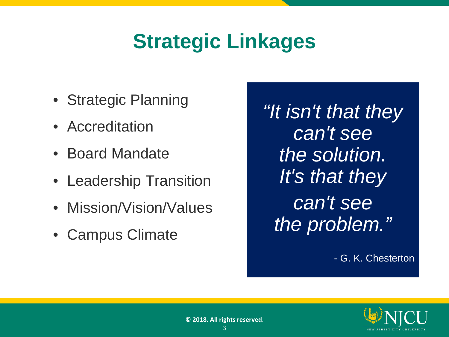#### **Strategic Linkages**

- Strategic Planning
- Accreditation
- Board Mandate
- Leadership Transition
- Mission/Vision/Values
- Campus Climate

*"It isn't that they can't see the solution. It's that they can't see the problem."*

- G. K. Chesterton

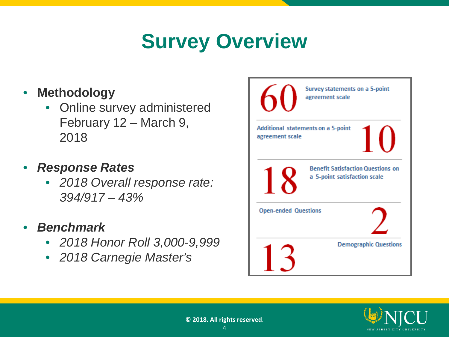## **Survey Overview**

- **Methodology** 
	- Online survey administered February 12 – March 9, 2018
- *Response Rates*
	- *2018 Overall response rate: 394/917 – 43%*
- *Benchmark*
	- *2018 Honor Roll 3,000-9,999*
	- *2018 Carnegie Master's*



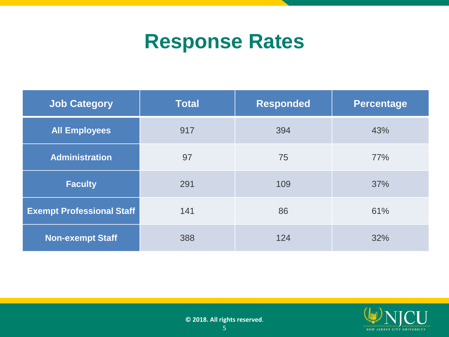#### **Response Rates**

| <b>Job Category</b>                     | <b>Total</b> | <b>Responded</b> | <b>Percentage</b> |
|-----------------------------------------|--------------|------------------|-------------------|
| <b>All Employees</b>                    | 917<br>394   |                  | 43%               |
| <b>Administration</b>                   | 97           | 75               | 77%               |
| <b>Faculty</b>                          | 291          |                  | 37%               |
| <b>Exempt Professional Staff</b><br>141 |              | 86               | 61%               |
| <b>Non-exempt Staff</b>                 | 388          | 124              | 32%               |

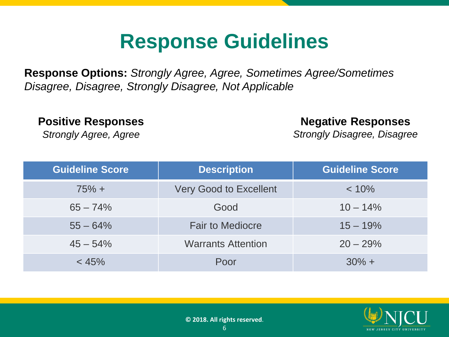#### **Response Guidelines**

**Response Options:** *Strongly Agree, Agree, Sometimes Agree/Sometimes Disagree, Disagree, Strongly Disagree, Not Applicable*

**Positive Responses**

*Strongly Agree, Agree*

#### **Negative Responses**

*Strongly Disagree, Disagree*

| <b>Guideline Score</b> | <b>Description</b>            | <b>Guideline Score</b> |
|------------------------|-------------------------------|------------------------|
| $75% +$                | <b>Very Good to Excellent</b> | $< 10\%$               |
| $65 - 74%$             | Good                          | $10 - 14\%$            |
| $55 - 64%$             | <b>Fair to Mediocre</b>       | $15 - 19%$             |
| $45 - 54\%$            | <b>Warrants Attention</b>     | $20 - 29%$             |
| < 45%                  | Poor                          | $30\% +$               |

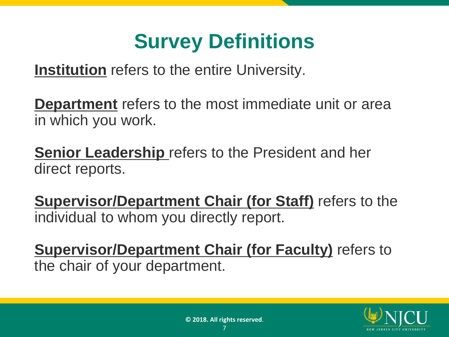#### **Survey Definitions**

**Institution** refers to the entire University.

**Department** refers to the most immediate unit or area in which you work.

**Senior Leadership** refers to the President and her direct reports.

**Supervisor/Department Chair (for Staff)** refers to the individual to whom you directly report.

**Supervisor/Department Chair (for Faculty)** refers to the chair of your department.

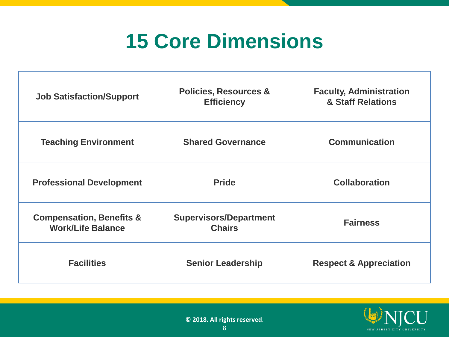#### **15 Core Dimensions**

| <b>Job Satisfaction/Support</b>                                 | <b>Policies, Resources &amp;</b><br><b>Efficiency</b> | <b>Faculty, Administration</b><br>& Staff Relations |
|-----------------------------------------------------------------|-------------------------------------------------------|-----------------------------------------------------|
| <b>Teaching Environment</b>                                     | <b>Shared Governance</b>                              | <b>Communication</b>                                |
| <b>Professional Development</b>                                 | <b>Pride</b>                                          | <b>Collaboration</b>                                |
| <b>Compensation, Benefits &amp;</b><br><b>Work/Life Balance</b> | <b>Supervisors/Department</b><br><b>Chairs</b>        | <b>Fairness</b>                                     |
| <b>Facilities</b>                                               | <b>Senior Leadership</b>                              | <b>Respect &amp; Appreciation</b>                   |

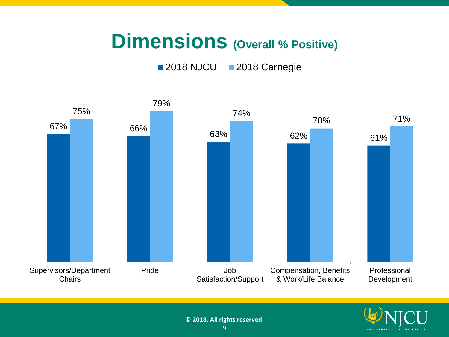#### **Dimensions (Overall % Positive)**

#### 2018 NJCU 2018 Carnegie



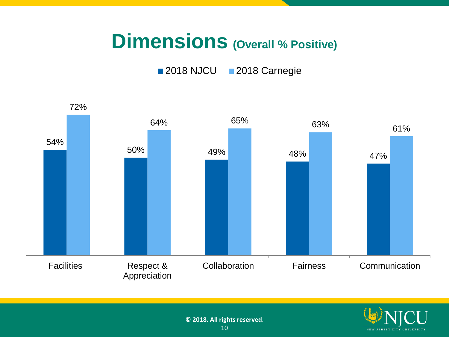#### **Dimensions (Overall % Positive)**

2018 NJCU 2018 Carnegie



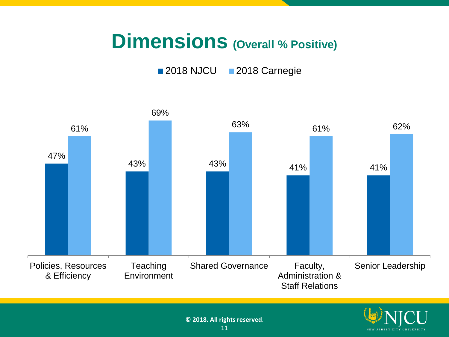#### **Dimensions (Overall % Positive)**

2018 NJCU 2018 Carnegie



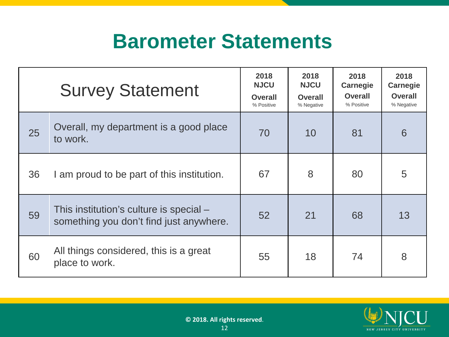#### **Barometer Statements**

|    | <b>Survey Statement</b>                                                            | 2018<br><b>NJCU</b><br><b>Overall</b><br>% Positive | 2018<br><b>NJCU</b><br><b>Overall</b><br>% Negative | 2018<br><b>Carnegie</b><br><b>Overall</b><br>% Positive | 2018<br><b>Carnegie</b><br><b>Overall</b><br>% Negative |
|----|------------------------------------------------------------------------------------|-----------------------------------------------------|-----------------------------------------------------|---------------------------------------------------------|---------------------------------------------------------|
| 25 | Overall, my department is a good place<br>to work.                                 | 70                                                  | 10                                                  | 81                                                      | 6                                                       |
| 36 | I am proud to be part of this institution.                                         | 67                                                  | 8                                                   | 80                                                      | 5                                                       |
| 59 | This institution's culture is special –<br>something you don't find just anywhere. | 52                                                  | 21                                                  | 68                                                      | 13                                                      |
| 60 | All things considered, this is a great<br>place to work.                           | 55                                                  | 18                                                  | 74                                                      | 8                                                       |

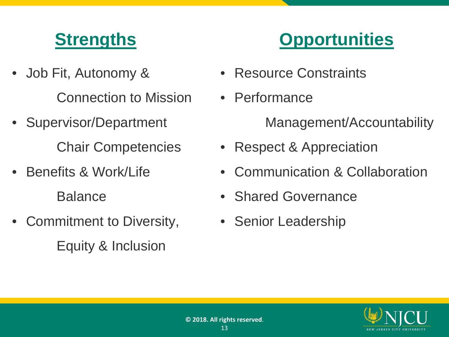- Job Fit, Autonomy & Connection to Mission
- Supervisor/Department Chair Competencies
- Benefits & Work/Life Balance
- Commitment to Diversity, Equity & Inclusion



- Resource Constraints
- Performance

Management/Accountability

- Respect & Appreciation
- Communication & Collaboration
- Shared Governance
- Senior Leadership

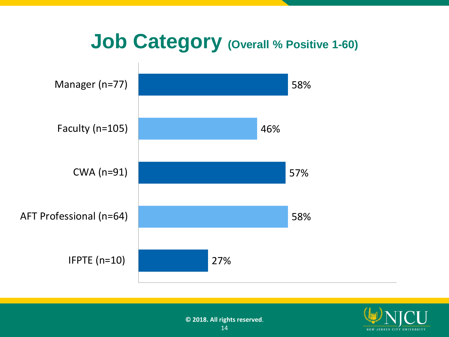

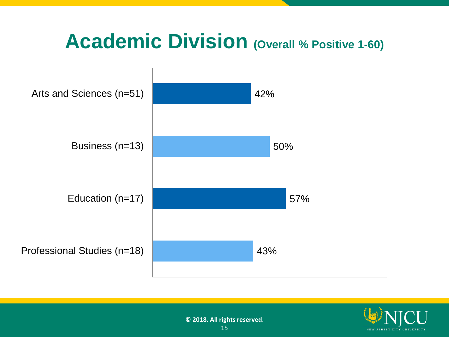#### **Academic Division (Overall % Positive 1-60)**



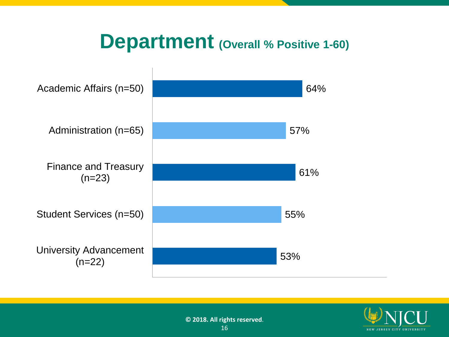#### **Department (Overall % Positive 1-60)**



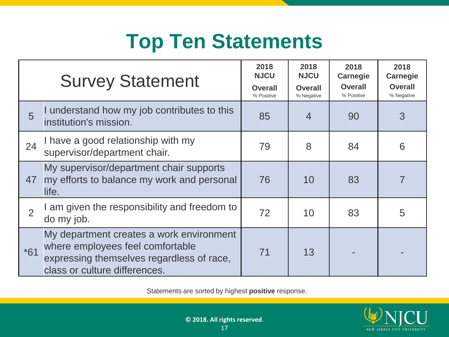#### **Top Ten Statements**

|       | <b>Survey Statement</b>                                                                                                                                    | 2018<br><b>NJCU</b><br><b>Overall</b><br>% Positive | 2018<br><b>NJCU</b><br><b>Overall</b><br>% Negative | 2018<br><b>Carnegie</b><br><b>Overall</b><br>% Positive | 2018<br><b>Carnegie</b><br><b>Overall</b><br>% Negative |
|-------|------------------------------------------------------------------------------------------------------------------------------------------------------------|-----------------------------------------------------|-----------------------------------------------------|---------------------------------------------------------|---------------------------------------------------------|
| 5     | I understand how my job contributes to this<br>institution's mission.                                                                                      | 85                                                  | $\overline{4}$                                      | 90                                                      | 3                                                       |
| 24    | I have a good relationship with my<br>supervisor/department chair.                                                                                         | 79                                                  | 8                                                   | 84                                                      | 6                                                       |
| 47    | My supervisor/department chair supports<br>my efforts to balance my work and personal<br>life.                                                             | 76                                                  | 10                                                  | 83                                                      |                                                         |
| 2     | am given the responsibility and freedom to<br>do my job.                                                                                                   | 72                                                  | 10                                                  | 83                                                      | 5                                                       |
| $*61$ | My department creates a work environment<br>where employees feel comfortable<br>expressing themselves regardless of race,<br>class or culture differences. | 71                                                  | 13                                                  |                                                         |                                                         |

Statements are sorted by highest **positive** response..

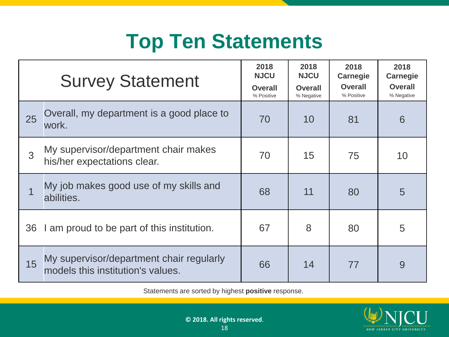#### **Top Ten Statements**

|    | <b>Survey Statement</b>                                                       | 2018<br><b>NJCU</b><br><b>Overall</b><br>% Positive | 2018<br><b>NJCU</b><br><b>Overall</b><br>% Negative | 2018<br><b>Carnegie</b><br><b>Overall</b><br>% Positive | 2018<br><b>Carnegie</b><br><b>Overall</b><br>% Negative |
|----|-------------------------------------------------------------------------------|-----------------------------------------------------|-----------------------------------------------------|---------------------------------------------------------|---------------------------------------------------------|
| 25 | Overall, my department is a good place to<br>work.                            | 70                                                  | 10                                                  | 81                                                      | 6                                                       |
| 3  | My supervisor/department chair makes<br>his/her expectations clear.           | 70                                                  | 15                                                  | 75                                                      | 10                                                      |
|    | My job makes good use of my skills and<br>abilities.                          | 68                                                  | 11                                                  | 80                                                      | 5                                                       |
| 36 | I am proud to be part of this institution.                                    | 67                                                  | 8                                                   | 80                                                      | 5                                                       |
| 15 | My supervisor/department chair regularly<br>models this institution's values. | 66                                                  | 14                                                  | 77                                                      | 9                                                       |

Statements are sorted by highest **positive** response..

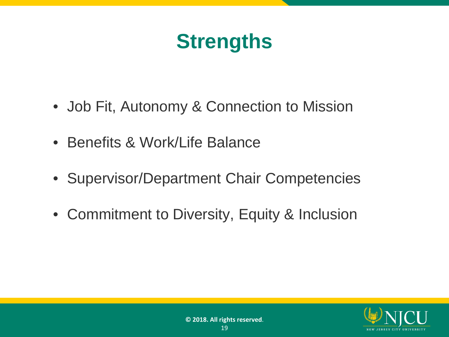#### **Strengths**

- Job Fit, Autonomy & Connection to Mission
- Benefits & Work/Life Balance
- Supervisor/Department Chair Competencies
- Commitment to Diversity, Equity & Inclusion

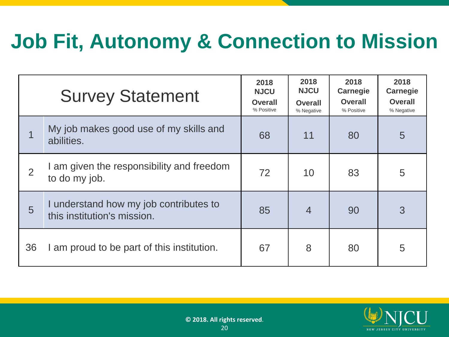## **Job Fit, Autonomy & Connection to Mission**

|                | <b>Survey Statement</b>                                               | 2018<br><b>NJCU</b><br><b>Overall</b><br>% Positive | 2018<br><b>NJCU</b><br><b>Overall</b><br>% Negative | 2018<br><b>Carnegie</b><br><b>Overall</b><br>% Positive | 2018<br><b>Carnegie</b><br><b>Overall</b><br>% Negative |
|----------------|-----------------------------------------------------------------------|-----------------------------------------------------|-----------------------------------------------------|---------------------------------------------------------|---------------------------------------------------------|
|                | My job makes good use of my skills and<br>abilities.                  | 68                                                  | 11                                                  | 80                                                      | 5                                                       |
| $\overline{2}$ | I am given the responsibility and freedom<br>to do my job.            | 72                                                  | 10                                                  | 83                                                      | 5                                                       |
| 5              | I understand how my job contributes to<br>this institution's mission. | 85                                                  | $\overline{4}$                                      | 90                                                      | 3                                                       |
| 36             | I am proud to be part of this institution.                            | 67                                                  | 8                                                   | 80                                                      | 5                                                       |

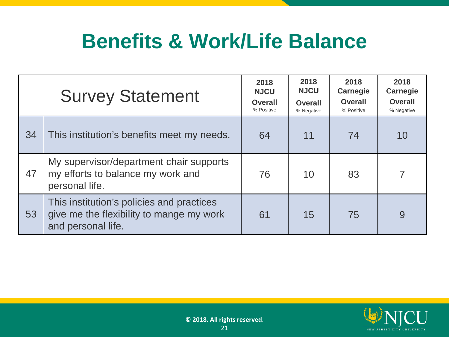#### **Benefits & Work/Life Balance**

|    | <b>Survey Statement</b>                                                                                     | 2018<br><b>NJCU</b><br><b>Overall</b><br>% Positive | 2018<br><b>NJCU</b><br><b>Overall</b><br>% Negative | 2018<br><b>Carnegie</b><br><b>Overall</b><br>% Positive | 2018<br><b>Carnegie</b><br><b>Overall</b><br>% Negative |
|----|-------------------------------------------------------------------------------------------------------------|-----------------------------------------------------|-----------------------------------------------------|---------------------------------------------------------|---------------------------------------------------------|
| 34 | This institution's benefits meet my needs.                                                                  | 64                                                  | 11                                                  | 74                                                      | 10                                                      |
| 47 | My supervisor/department chair supports<br>my efforts to balance my work and<br>personal life.              | 76                                                  | 10                                                  | 83                                                      |                                                         |
| 53 | This institution's policies and practices<br>give me the flexibility to mange my work<br>and personal life. | 61                                                  | 15                                                  | 75                                                      | 9                                                       |

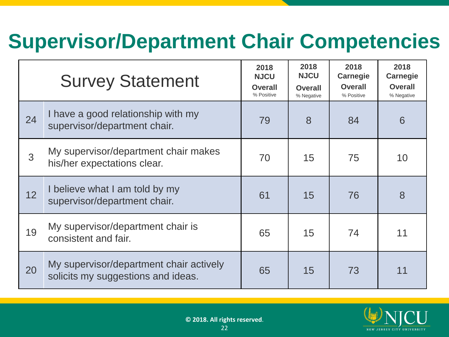#### **Supervisor/Department Chair Competencies**

|    | <b>Survey Statement</b>                                                       | 2018<br><b>NJCU</b><br><b>Overall</b><br>% Positive | 2018<br><b>NJCU</b><br><b>Overall</b><br>% Negative | 2018<br><b>Carnegie</b><br><b>Overall</b><br>% Positive | 2018<br><b>Carnegie</b><br><b>Overall</b><br>% Negative |
|----|-------------------------------------------------------------------------------|-----------------------------------------------------|-----------------------------------------------------|---------------------------------------------------------|---------------------------------------------------------|
| 24 | I have a good relationship with my<br>supervisor/department chair.            | 79                                                  | 8                                                   | 84                                                      | 6                                                       |
| 3  | My supervisor/department chair makes<br>his/her expectations clear.           | 70                                                  | 15                                                  | 75                                                      | 10                                                      |
| 12 | I believe what I am told by my<br>supervisor/department chair.                | 61                                                  | 15                                                  | 76                                                      | 8                                                       |
| 19 | My supervisor/department chair is<br>consistent and fair.                     | 65                                                  | 15                                                  | 74                                                      | 11                                                      |
| 20 | My supervisor/department chair actively<br>solicits my suggestions and ideas. | 65                                                  | 15                                                  | 73                                                      | 11                                                      |

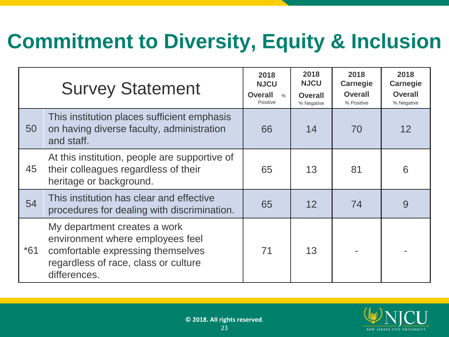#### **Commitment to Diversity, Equity & Inclusion**

|       | <b>Survey Statement</b>                                                                                                                                       | 2018<br><b>NJCU</b><br><b>Overall</b><br>$\frac{0}{0}$<br>Positive | 2018<br><b>NJCU</b><br><b>Overall</b><br>% Negative | 2018<br><b>Carnegie</b><br><b>Overall</b><br>% Positive | 2018<br><b>Carnegie</b><br><b>Overall</b><br>% Negative |
|-------|---------------------------------------------------------------------------------------------------------------------------------------------------------------|--------------------------------------------------------------------|-----------------------------------------------------|---------------------------------------------------------|---------------------------------------------------------|
| 50    | This institution places sufficient emphasis<br>on having diverse faculty, administration<br>and staff.                                                        | 66                                                                 | 14                                                  | 70                                                      | 12                                                      |
| 45    | At this institution, people are supportive of<br>their colleagues regardless of their<br>heritage or background.                                              | 65                                                                 | 13                                                  | 81                                                      | 6                                                       |
| 54    | This institution has clear and effective<br>procedures for dealing with discrimination.                                                                       | 65                                                                 | 12                                                  | 74                                                      | 9                                                       |
| $*61$ | My department creates a work<br>environment where employees feel<br>comfortable expressing themselves<br>regardless of race, class or culture<br>differences. | 71                                                                 | 13                                                  |                                                         |                                                         |

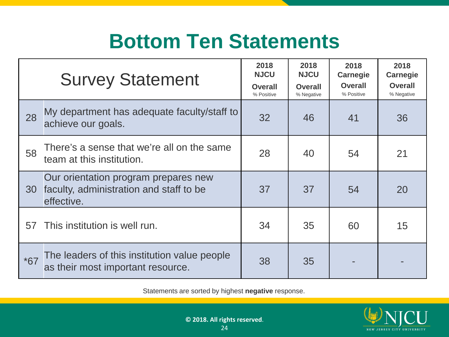#### **Bottom Ten Statements**

|       | <b>Survey Statement</b>                                                                       | 2018<br><b>NJCU</b><br><b>Overall</b><br>% Positive | 2018<br><b>NJCU</b><br><b>Overall</b><br>% Negative | 2018<br><b>Carnegie</b><br><b>Overall</b><br>% Positive | 2018<br><b>Carnegie</b><br><b>Overall</b><br>% Negative |
|-------|-----------------------------------------------------------------------------------------------|-----------------------------------------------------|-----------------------------------------------------|---------------------------------------------------------|---------------------------------------------------------|
| 28    | My department has adequate faculty/staff to<br>achieve our goals.                             | 32                                                  | 46                                                  | 41                                                      | 36                                                      |
| 58    | There's a sense that we're all on the same<br>team at this institution.                       | 28                                                  | 40                                                  | 54                                                      | 21                                                      |
| 30    | Our orientation program prepares new<br>faculty, administration and staff to be<br>effective. | 37                                                  | 37                                                  | 54                                                      | 20                                                      |
| 57    | This institution is well run.                                                                 | 34                                                  | 35                                                  | 60                                                      | 15                                                      |
| $*67$ | The leaders of this institution value people<br>as their most important resource.             | 38                                                  | 35                                                  |                                                         |                                                         |

Statements are sorted by highest **negative** response..

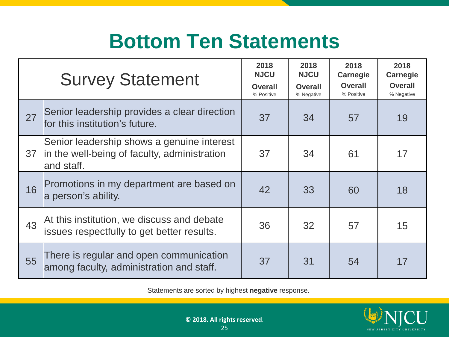#### **Bottom Ten Statements**

|    | <b>Survey Statement</b>                                                                                  | 2018<br><b>NJCU</b><br><b>Overall</b><br>% Positive | 2018<br><b>NJCU</b><br><b>Overall</b><br>% Negative | 2018<br><b>Carnegie</b><br><b>Overall</b><br>% Positive | 2018<br><b>Carnegie</b><br><b>Overall</b><br>% Negative |
|----|----------------------------------------------------------------------------------------------------------|-----------------------------------------------------|-----------------------------------------------------|---------------------------------------------------------|---------------------------------------------------------|
| 27 | Senior leadership provides a clear direction<br>for this institution's future.                           | 37                                                  | 34                                                  | 57                                                      | 19                                                      |
| 37 | Senior leadership shows a genuine interest<br>in the well-being of faculty, administration<br>and staff. | 37                                                  | 34                                                  | 61                                                      | 17                                                      |
| 16 | Promotions in my department are based on<br>a person's ability.                                          | 42                                                  | 33                                                  | 60                                                      | 18                                                      |
| 43 | At this institution, we discuss and debate<br>issues respectfully to get better results.                 | 36                                                  | 32                                                  | 57                                                      | 15                                                      |
| 55 | There is regular and open communication<br>among faculty, administration and staff.                      | 37                                                  | 31                                                  | 54                                                      | 17                                                      |

Statements are sorted by highest **negative** response..

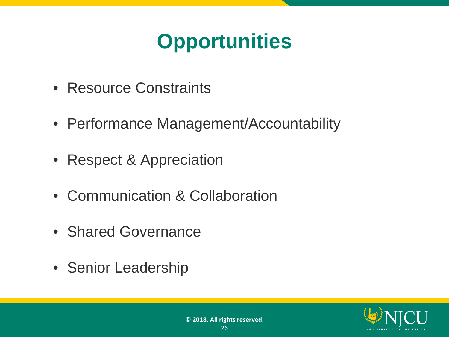## **Opportunities**

- Resource Constraints
- Performance Management/Accountability
- Respect & Appreciation
- Communication & Collaboration
- Shared Governance
- Senior Leadership

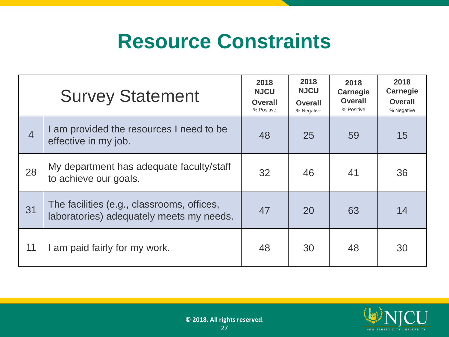#### **Resource Constraints**

|                | <b>Survey Statement</b>                                                                | 2018<br><b>NJCU</b><br><b>Overall</b><br>% Positive | 2018<br><b>NJCU</b><br><b>Overall</b><br>% Negative | 2018<br><b>Carnegie</b><br><b>Overall</b><br>% Positive | 2018<br><b>Carnegie</b><br><b>Overall</b><br>% Negative |
|----------------|----------------------------------------------------------------------------------------|-----------------------------------------------------|-----------------------------------------------------|---------------------------------------------------------|---------------------------------------------------------|
| $\overline{4}$ | I am provided the resources I need to be<br>effective in my job.                       | 48                                                  | 25                                                  | 59                                                      | 15                                                      |
| 28             | My department has adequate faculty/staff<br>to achieve our goals.                      | 32                                                  | 46                                                  | 41                                                      | 36                                                      |
| 31             | The facilities (e.g., classrooms, offices,<br>laboratories) adequately meets my needs. | 47                                                  | 20                                                  | 63                                                      | 14                                                      |
| 11             | I am paid fairly for my work.                                                          | 48                                                  | 30                                                  | 48                                                      | 30                                                      |

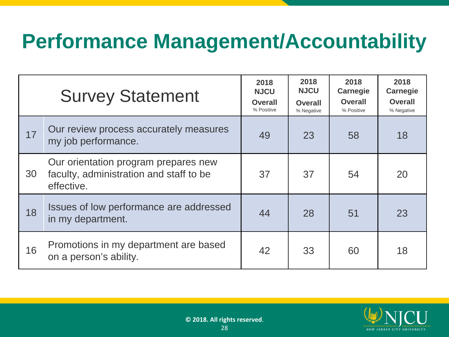#### **Performance Management/Accountability**

|    | <b>Survey Statement</b>                                                                       | 2018<br><b>NJCU</b><br><b>Overall</b><br>% Positive | 2018<br><b>NJCU</b><br><b>Overall</b><br>% Negative | 2018<br><b>Carnegie</b><br><b>Overall</b><br>% Positive | 2018<br><b>Carnegie</b><br><b>Overall</b><br>% Negative |
|----|-----------------------------------------------------------------------------------------------|-----------------------------------------------------|-----------------------------------------------------|---------------------------------------------------------|---------------------------------------------------------|
| 17 | Our review process accurately measures<br>my job performance.                                 | 49                                                  | 23                                                  | 58                                                      | 18                                                      |
| 30 | Our orientation program prepares new<br>faculty, administration and staff to be<br>effective. | 37                                                  | 37                                                  | 54                                                      | 20                                                      |
| 18 | Issues of low performance are addressed<br>in my department.                                  | 44                                                  | 28                                                  | 51                                                      | 23                                                      |
| 16 | Promotions in my department are based<br>on a person's ability.                               | 42                                                  | 33                                                  | 60                                                      | 18                                                      |

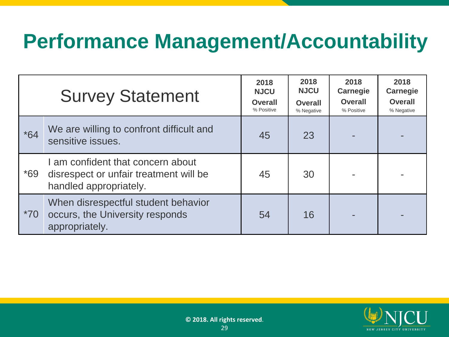#### **Performance Management/Accountability**

|       | <b>Survey Statement</b>                                                                               | 2018<br><b>NJCU</b><br><b>Overall</b><br>% Positive | 2018<br><b>NJCU</b><br><b>Overall</b><br>% Negative | 2018<br><b>Carnegie</b><br><b>Overall</b><br>% Positive | 2018<br><b>Carnegie</b><br><b>Overall</b><br>% Negative |
|-------|-------------------------------------------------------------------------------------------------------|-----------------------------------------------------|-----------------------------------------------------|---------------------------------------------------------|---------------------------------------------------------|
| $*64$ | We are willing to confront difficult and<br>sensitive issues.                                         | 45                                                  | 23                                                  |                                                         |                                                         |
| $*69$ | I am confident that concern about<br>disrespect or unfair treatment will be<br>handled appropriately. | 45                                                  | 30                                                  |                                                         |                                                         |
| $*70$ | When disrespectful student behavior<br>occurs, the University responds<br>appropriately.              | 54                                                  | 16                                                  |                                                         |                                                         |

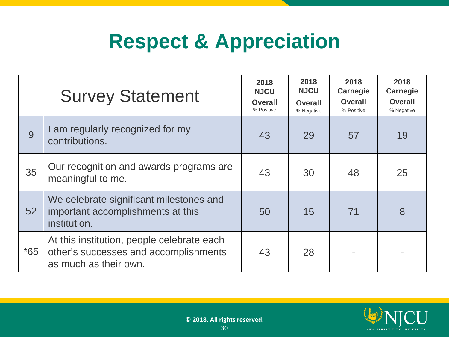#### **Respect & Appreciation**

|       | <b>Survey Statement</b>                                                                                      | 2018<br><b>NJCU</b><br><b>Overall</b><br>% Positive | 2018<br><b>NJCU</b><br><b>Overall</b><br>% Negative | 2018<br><b>Carnegie</b><br><b>Overall</b><br>% Positive | 2018<br><b>Carnegie</b><br><b>Overall</b><br>% Negative |
|-------|--------------------------------------------------------------------------------------------------------------|-----------------------------------------------------|-----------------------------------------------------|---------------------------------------------------------|---------------------------------------------------------|
| 9     | I am regularly recognized for my<br>contributions.                                                           | 43                                                  | 29                                                  | 57                                                      | 19                                                      |
| 35    | Our recognition and awards programs are<br>meaningful to me.                                                 | 43                                                  | 30                                                  | 48                                                      | 25                                                      |
| 52    | We celebrate significant milestones and<br>important accomplishments at this<br>institution.                 | 50                                                  | 15                                                  | 71                                                      | 8                                                       |
| $*65$ | At this institution, people celebrate each<br>other's successes and accomplishments<br>as much as their own. | 43                                                  | 28                                                  |                                                         |                                                         |

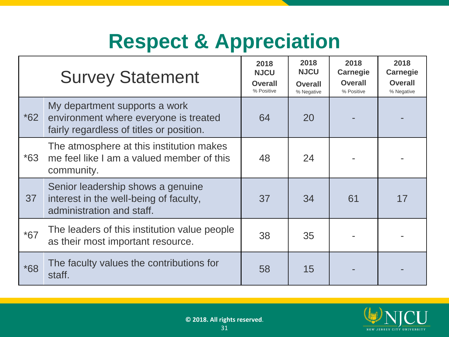#### **Respect & Appreciation**

|       | <b>Survey Statement</b>                                                                                            | 2018<br><b>NJCU</b><br><b>Overall</b><br>% Positive | 2018<br><b>NJCU</b><br><b>Overall</b><br>% Negative | 2018<br><b>Carnegie</b><br><b>Overall</b><br>% Positive | 2018<br><b>Carnegie</b><br><b>Overall</b><br>% Negative |
|-------|--------------------------------------------------------------------------------------------------------------------|-----------------------------------------------------|-----------------------------------------------------|---------------------------------------------------------|---------------------------------------------------------|
| $*62$ | My department supports a work<br>environment where everyone is treated<br>fairly regardless of titles or position. | 64                                                  | 20                                                  |                                                         |                                                         |
| $*63$ | The atmosphere at this institution makes<br>me feel like I am a valued member of this<br>community.                | 48                                                  | 24                                                  |                                                         |                                                         |
| 37    | Senior leadership shows a genuine<br>interest in the well-being of faculty,<br>administration and staff.           | 37                                                  | 34                                                  | 61                                                      | 17                                                      |
| $*67$ | The leaders of this institution value people<br>as their most important resource.                                  | 38                                                  | 35                                                  |                                                         |                                                         |
| $*68$ | The faculty values the contributions for<br>staff.                                                                 | 58                                                  | 15                                                  |                                                         |                                                         |

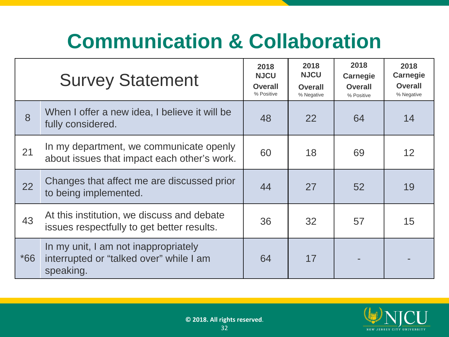## **Communication & Collaboration**

|       | <b>Survey Statement</b>                                                                      | 2018<br><b>NJCU</b><br><b>Overall</b><br>% Positive | 2018<br><b>NJCU</b><br><b>Overall</b><br>% Negative | 2018<br><b>Carnegie</b><br><b>Overall</b><br>% Positive | 2018<br><b>Carnegie</b><br><b>Overall</b><br>% Negative |
|-------|----------------------------------------------------------------------------------------------|-----------------------------------------------------|-----------------------------------------------------|---------------------------------------------------------|---------------------------------------------------------|
| 8     | When I offer a new idea, I believe it will be<br>fully considered.                           | 48                                                  | 22                                                  | 64                                                      | 14                                                      |
| 21    | In my department, we communicate openly<br>about issues that impact each other's work.       | 60                                                  | 18                                                  | 69                                                      | 12                                                      |
| 22    | Changes that affect me are discussed prior<br>to being implemented.                          | 44                                                  | 27                                                  | 52                                                      | 19                                                      |
| 43    | At this institution, we discuss and debate<br>issues respectfully to get better results.     | 36                                                  | 32                                                  | 57                                                      | 15                                                      |
| $*66$ | In my unit, I am not inappropriately<br>interrupted or "talked over" while I am<br>speaking. | 64                                                  | 17                                                  |                                                         |                                                         |

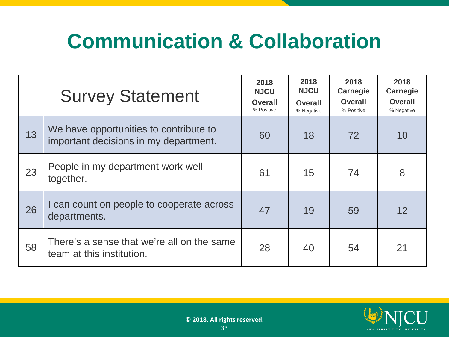## **Communication & Collaboration**

|    | <b>Survey Statement</b>                                                         | 2018<br><b>NJCU</b><br><b>Overall</b><br>% Positive | 2018<br><b>NJCU</b><br>Overall<br>% Negative | 2018<br><b>Carnegie</b><br><b>Overall</b><br>% Positive | 2018<br><b>Carnegie</b><br><b>Overall</b><br>% Negative |
|----|---------------------------------------------------------------------------------|-----------------------------------------------------|----------------------------------------------|---------------------------------------------------------|---------------------------------------------------------|
| 13 | We have opportunities to contribute to<br>important decisions in my department. | 60                                                  | 18                                           | 72                                                      | 10                                                      |
| 23 | People in my department work well<br>together.                                  | 61                                                  | 15                                           | 74                                                      | 8                                                       |
| 26 | I can count on people to cooperate across<br>departments.                       | 47                                                  | 19                                           | 59                                                      | 12                                                      |
| 58 | There's a sense that we're all on the same<br>team at this institution.         | 28                                                  | 40                                           | 54                                                      | 21                                                      |

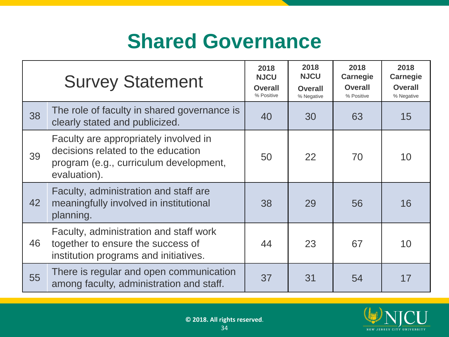#### **Shared Governance**

|    | <b>Survey Statement</b>                                                                                                               | 2018<br><b>NJCU</b><br><b>Overall</b><br>% Positive | 2018<br><b>NJCU</b><br><b>Overall</b><br>% Negative | 2018<br><b>Carnegie</b><br><b>Overall</b><br>% Positive | 2018<br><b>Carnegie</b><br><b>Overall</b><br>% Negative |
|----|---------------------------------------------------------------------------------------------------------------------------------------|-----------------------------------------------------|-----------------------------------------------------|---------------------------------------------------------|---------------------------------------------------------|
| 38 | The role of faculty in shared governance is<br>clearly stated and publicized.                                                         | 40                                                  | 30                                                  | 63                                                      | 15                                                      |
| 39 | Faculty are appropriately involved in<br>decisions related to the education<br>program (e.g., curriculum development,<br>evaluation). | 50                                                  | 22                                                  | 70                                                      | 10                                                      |
| 42 | Faculty, administration and staff are<br>meaningfully involved in institutional<br>planning.                                          | 38                                                  | 29                                                  | 56                                                      | 16                                                      |
| 46 | Faculty, administration and staff work<br>together to ensure the success of<br>institution programs and initiatives.                  | 44                                                  | 23                                                  | 67                                                      | 10                                                      |
| 55 | There is regular and open communication<br>among faculty, administration and staff.                                                   | 37                                                  | 31                                                  | 54                                                      | 17                                                      |

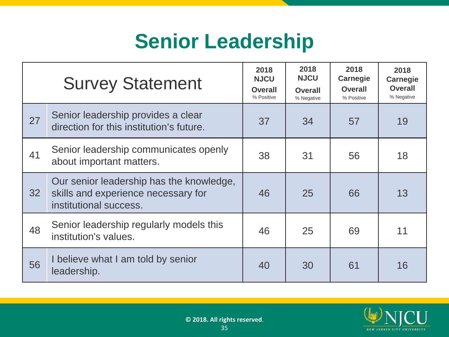#### **Senior Leadership**

|    | <b>Survey Statement</b>                                                                                   | 2018<br><b>NJCU</b><br><b>Overall</b><br>% Positive | 2018<br><b>NJCU</b><br><b>Overall</b><br>% Negative | 2018<br><b>Carnegie</b><br><b>Overall</b><br>% Positive | 2018<br><b>Carnegie</b><br><b>Overall</b><br>% Negative |
|----|-----------------------------------------------------------------------------------------------------------|-----------------------------------------------------|-----------------------------------------------------|---------------------------------------------------------|---------------------------------------------------------|
| 27 | Senior leadership provides a clear<br>direction for this institution's future.                            | 37                                                  | 34                                                  | 57                                                      | 19                                                      |
| 41 | Senior leadership communicates openly<br>about important matters.                                         | 38                                                  | 31                                                  | 56                                                      | 18                                                      |
| 32 | Our senior leadership has the knowledge,<br>skills and experience necessary for<br>institutional success. | 46                                                  | 25                                                  | 66                                                      | 13                                                      |
| 48 | Senior leadership regularly models this<br>institution's values.                                          | 46                                                  | 25                                                  | 69                                                      | 11                                                      |
| 56 | I believe what I am told by senior<br>leadership.                                                         | 40                                                  | 30                                                  | 61                                                      | 16                                                      |

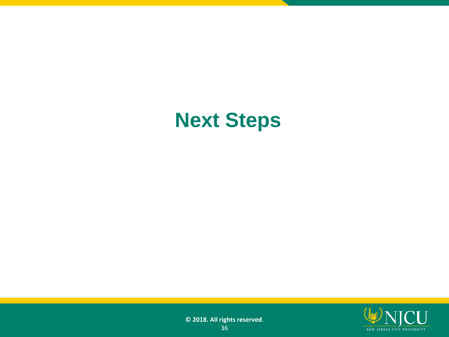#### **Next Steps**

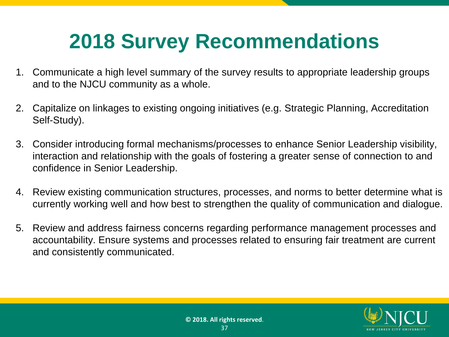#### **2018 Survey Recommendations**

- 1. Communicate a high level summary of the survey results to appropriate leadership groups and to the NJCU community as a whole.
- 2. Capitalize on linkages to existing ongoing initiatives (e.g. Strategic Planning, Accreditation Self-Study).
- 3. Consider introducing formal mechanisms/processes to enhance Senior Leadership visibility, interaction and relationship with the goals of fostering a greater sense of connection to and confidence in Senior Leadership.
- 4. Review existing communication structures, processes, and norms to better determine what is currently working well and how best to strengthen the quality of communication and dialogue.
- 5. Review and address fairness concerns regarding performance management processes and accountability. Ensure systems and processes related to ensuring fair treatment are current and consistently communicated.

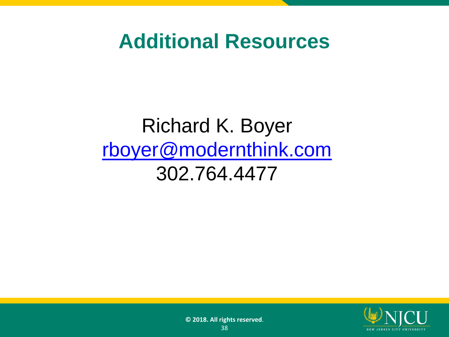#### **Additional Resources**

#### Richard K. Boyer [rboyer@modernthink.com](mailto:rboyer@modernthink.com) 302.764.4477

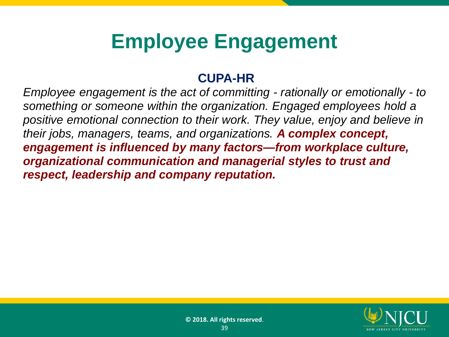#### **Employee Engagement**

#### **CUPA-HR**

*Employee engagement is the act of committing - rationally or emotionally - to something or someone within the organization. Engaged employees hold a positive emotional connection to their work. They value, enjoy and believe in their jobs, managers, teams, and organizations. A complex concept, engagement is influenced by many factors—from workplace culture, organizational communication and managerial styles to trust and respect, leadership and company reputation.*

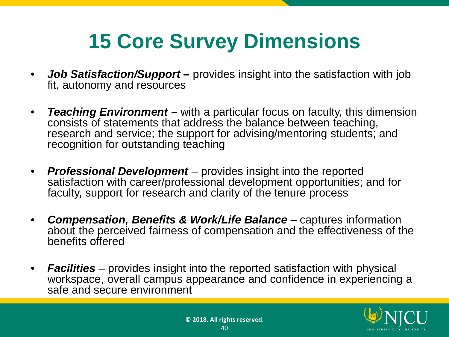## **15 Core Survey Dimensions**

- *Job Satisfaction/Support* **–** provides insight into the satisfaction with job fit, autonomy and resources
- *Teaching Environment* **–** with a particular focus on faculty, this dimension consists of statements that address the balance between teaching, research and service; the support for advising/mentoring students; and recognition for outstanding teaching
- *Professional Development*  provides insight into the reported satisfaction with career/professional development opportunities; and for faculty, support for research and clarity of the tenure process
- *Compensation, Benefits & Work/Life Balance*  captures information about the perceived fairness of compensation and the effectiveness of the benefits offered
- *Facilities*  provides insight into the reported satisfaction with physical workspace, overall campus appearance and confidence in experiencing a safe and secure environment

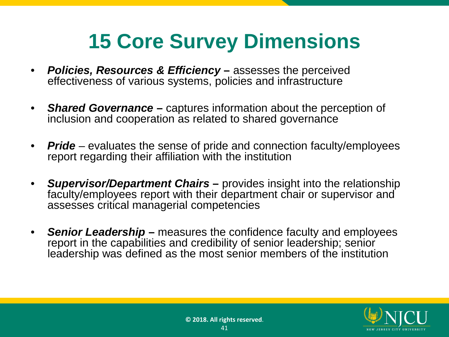#### **15 Core Survey Dimensions**

- *Policies, Resources & Efficiency* **–** assesses the perceived effectiveness of various systems, policies and infrastructure
- *Shared Governance* **–** captures information about the perception of inclusion and cooperation as related to shared governance
- *Pride* evaluates the sense of pride and connection faculty/employees report regarding their affiliation with the institution
- *Supervisor/Department Chairs* **–** provides insight into the relationship faculty/employees report with their department chair or supervisor and assesses critical managerial competencies
- *Senior Leadership* **–** measures the confidence faculty and employees report in the capabilities and credibility of senior leadership; senior leadership was defined as the most senior members of the institution

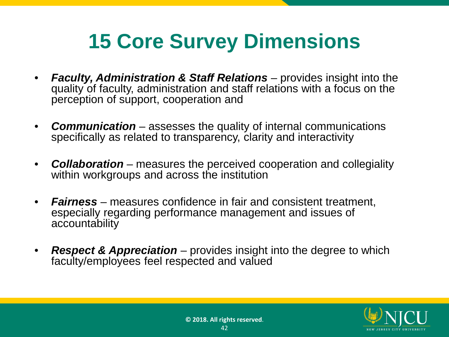#### **15 Core Survey Dimensions**

- *Faculty, Administration & Staff Relations* provides insight into the quality of faculty, administration and staff relations with a focus on the perception of support, cooperation and
- *Communication* assesses the quality of internal communications specifically as related to transparency, clarity and interactivity
- *Collaboration* measures the perceived cooperation and collegiality within workgroups and across the institution
- *Fairness* measures confidence in fair and consistent treatment, especially regarding performance management and issues of accountability
- *Respect & Appreciation* provides insight into the degree to which faculty/employees feel respected and valued